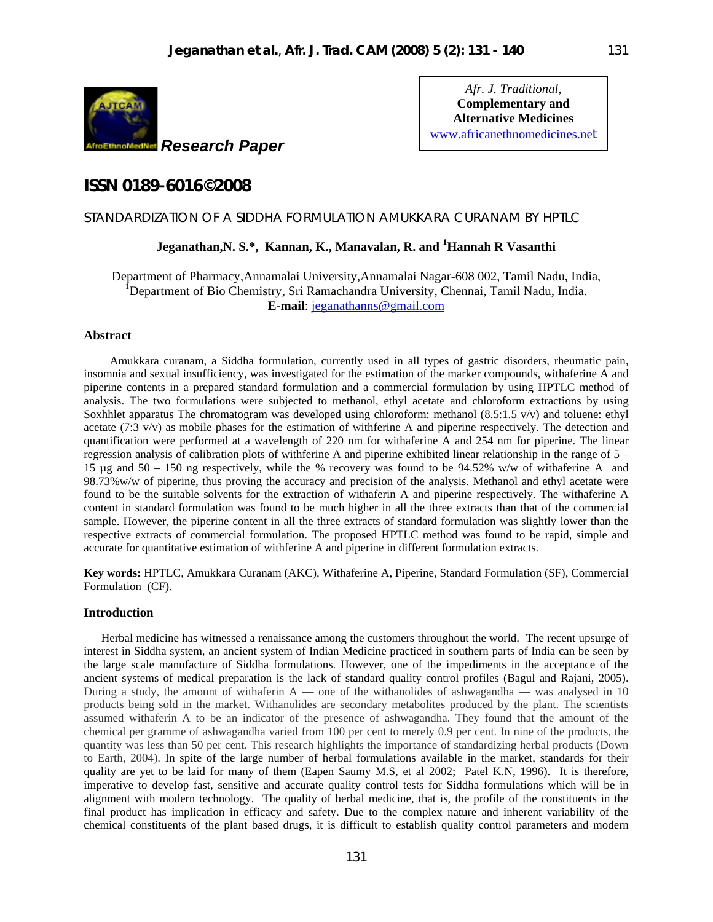

*Afr. J. Traditional*, **Complementary and Alternative Medicines** www.africanethnomedicines.net 131

# **ISSN 0189-6016©2008**

# STANDARDIZATION OF A SIDDHA FORMULATION AMUKKARA CURANAM BY HPTLC

# **Jeganathan,N. S.\*, Kannan, K., Manavalan, R. and <sup>1</sup> Hannah R Vasanthi**

Department of Pharmacy,Annamalai University,Annamalai Nagar-608 002, Tamil Nadu, India, <sup>I</sup>Department of Bio Chemistry, Sri Ramachandra University, Chennai, Tamil Nadu, India. **E-mail**: jeganathanns@gmail.com

# **Abstract**

Amukkara curanam, a Siddha formulation, currently used in all types of gastric disorders, rheumatic pain, insomnia and sexual insufficiency, was investigated for the estimation of the marker compounds, withaferine A and piperine contents in a prepared standard formulation and a commercial formulation by using HPTLC method of analysis. The two formulations were subjected to methanol, ethyl acetate and chloroform extractions by using Soxhhlet apparatus The chromatogram was developed using chloroform: methanol (8.5:1.5 v/v) and toluene: ethyl acetate (7:3 v/v) as mobile phases for the estimation of withferine A and piperine respectively. The detection and quantification were performed at a wavelength of 220 nm for withaferine A and 254 nm for piperine. The linear regression analysis of calibration plots of withferine A and piperine exhibited linear relationship in the range of 5 – 15 µg and 50 – 150 ng respectively, while the % recovery was found to be 94.52% w/w of withaferine A and 98.73%w/w of piperine, thus proving the accuracy and precision of the analysis. Methanol and ethyl acetate were found to be the suitable solvents for the extraction of withaferin A and piperine respectively. The withaferine A content in standard formulation was found to be much higher in all the three extracts than that of the commercial sample. However, the piperine content in all the three extracts of standard formulation was slightly lower than the respective extracts of commercial formulation. The proposed HPTLC method was found to be rapid, simple and accurate for quantitative estimation of withferine A and piperine in different formulation extracts.

**Key words:** HPTLC, Amukkara Curanam (AKC), Withaferine A, Piperine, Standard Formulation (SF), Commercial Formulation (CF).

# **Introduction**

 Herbal medicine has witnessed a renaissance among the customers throughout the world. The recent upsurge of interest in Siddha system, an ancient system of Indian Medicine practiced in southern parts of India can be seen by the large scale manufacture of Siddha formulations. However, one of the impediments in the acceptance of the ancient systems of medical preparation is the lack of standard quality control profiles (Bagul and Rajani, 2005). During a study, the amount of withaferin  $A$  — one of the withanolides of ashwagandha — was analysed in 10 products being sold in the market. Withanolides are secondary metabolites produced by the plant. The scientists assumed withaferin A to be an indicator of the presence of ashwagandha. They found that the amount of the chemical per gramme of ashwagandha varied from 100 per cent to merely 0.9 per cent. In nine of the products, the quantity was less than 50 per cent. This research highlights the importance of standardizing herbal products (Down to Earth, 2004). In spite of the large number of herbal formulations available in the market, standards for their quality are yet to be laid for many of them (Eapen Saumy M.S, et al 2002; Patel K.N, 1996). It is therefore, imperative to develop fast, sensitive and accurate quality control tests for Siddha formulations which will be in alignment with modern technology. The quality of herbal medicine, that is, the profile of the constituents in the final product has implication in efficacy and safety. Due to the complex nature and inherent variability of the chemical constituents of the plant based drugs, it is difficult to establish quality control parameters and modern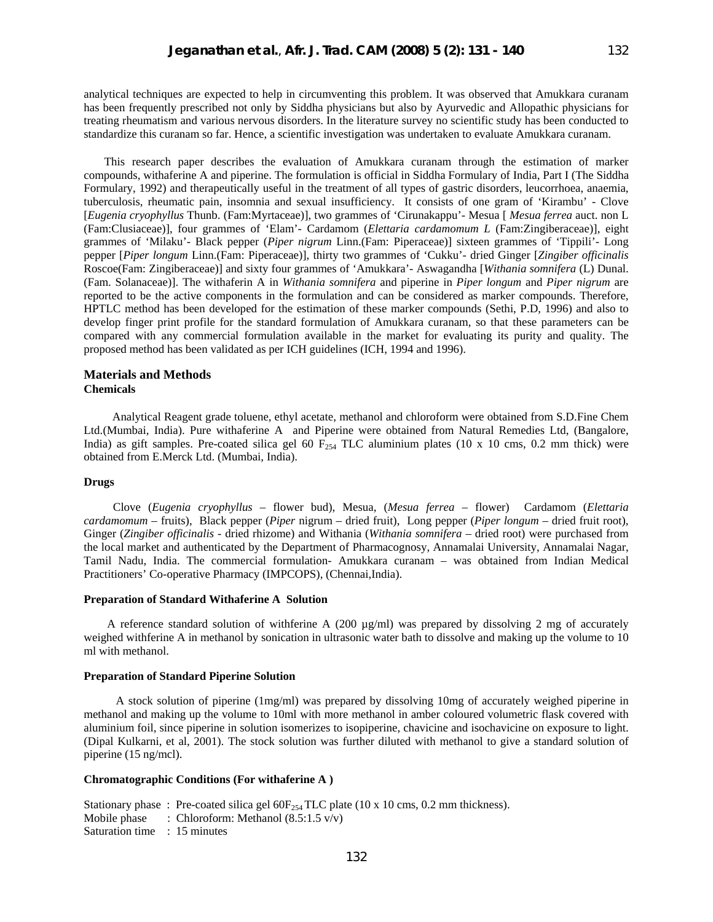analytical techniques are expected to help in circumventing this problem. It was observed that Amukkara curanam has been frequently prescribed not only by Siddha physicians but also by Ayurvedic and Allopathic physicians for treating rheumatism and various nervous disorders. In the literature survey no scientific study has been conducted to standardize this curanam so far. Hence, a scientific investigation was undertaken to evaluate Amukkara curanam.

 This research paper describes the evaluation of Amukkara curanam through the estimation of marker compounds, withaferine A and piperine. The formulation is official in Siddha Formulary of India, Part I (The Siddha Formulary, 1992) and therapeutically useful in the treatment of all types of gastric disorders, leucorrhoea, anaemia, tuberculosis, rheumatic pain, insomnia and sexual insufficiency. It consists of one gram of 'Kirambu' - Clove [*Eugenia cryophyllus* Thunb. (Fam:Myrtaceae)], two grammes of 'Cirunakappu'- Mesua [ *Mesua ferrea* auct. non L (Fam:Clusiaceae)], four grammes of 'Elam'- Cardamom (*Elettaria cardamomum L* (Fam:Zingiberaceae)], eight grammes of 'Milaku'- Black pepper (*Piper nigrum* Linn.(Fam: Piperaceae)] sixteen grammes of 'Tippili'- Long pepper [*Piper longum* Linn.(Fam: Piperaceae)], thirty two grammes of 'Cukku'- dried Ginger [*Zingiber officinalis* Roscoe(Fam: Zingiberaceae)] and sixty four grammes of 'Amukkara'- Aswagandha [*Withania somnifera* (L) Dunal. (Fam. Solanaceae)]. The withaferin A in *Withania somnifera* and piperine in *Piper longum* and *Piper nigrum* are reported to be the active components in the formulation and can be considered as marker compounds. Therefore, HPTLC method has been developed for the estimation of these marker compounds (Sethi, P.D, 1996) and also to develop finger print profile for the standard formulation of Amukkara curanam, so that these parameters can be compared with any commercial formulation available in the market for evaluating its purity and quality. The proposed method has been validated as per ICH guidelines (ICH, 1994 and 1996).

#### **Materials and Methods Chemicals**

 Analytical Reagent grade toluene, ethyl acetate, methanol and chloroform were obtained from S.D.Fine Chem Ltd.(Mumbai, India). Pure withaferine A and Piperine were obtained from Natural Remedies Ltd, (Bangalore, India) as gift samples. Pre-coated silica gel 60  $F_{254}$  TLC aluminium plates (10 x 10 cms, 0.2 mm thick) were obtained from E.Merck Ltd. (Mumbai, India).

# **Drugs**

 Clove (*Eugenia cryophyllus* – flower bud), Mesua, (*Mesua ferrea* – flower) Cardamom (*Elettaria cardamomum* – fruits), Black pepper (*Piper* nigrum – dried fruit), Long pepper (*Piper longum* – dried fruit root), Ginger (*Zingiber officinalis* - dried rhizome) and Withania (*Withania somnifera* – dried root) were purchased from the local market and authenticated by the Department of Pharmacognosy, Annamalai University, Annamalai Nagar, Tamil Nadu, India. The commercial formulation- Amukkara curanam – was obtained from Indian Medical Practitioners' Co-operative Pharmacy (IMPCOPS), (Chennai,India).

## **Preparation of Standard Withaferine A Solution**

A reference standard solution of withferine A (200  $\mu$ g/ml) was prepared by dissolving 2 mg of accurately weighed withferine A in methanol by sonication in ultrasonic water bath to dissolve and making up the volume to 10 ml with methanol.

#### **Preparation of Standard Piperine Solution**

 A stock solution of piperine (1mg/ml) was prepared by dissolving 10mg of accurately weighed piperine in methanol and making up the volume to 10ml with more methanol in amber coloured volumetric flask covered with aluminium foil, since piperine in solution isomerizes to isopiperine, chavicine and isochavicine on exposure to light. (Dipal Kulkarni, et al, 2001). The stock solution was further diluted with methanol to give a standard solution of piperine (15 ng/mcl).

#### **Chromatographic Conditions (For withaferine A )**

|                              | Stationary phase: Pre-coated silica gel $60F_{254}$ TLC plate (10 x 10 cms, 0.2 mm thickness). |
|------------------------------|------------------------------------------------------------------------------------------------|
|                              | Mobile phase $\therefore$ Chloroform: Methanol (8.5:1.5 v/v)                                   |
| Saturation time : 15 minutes |                                                                                                |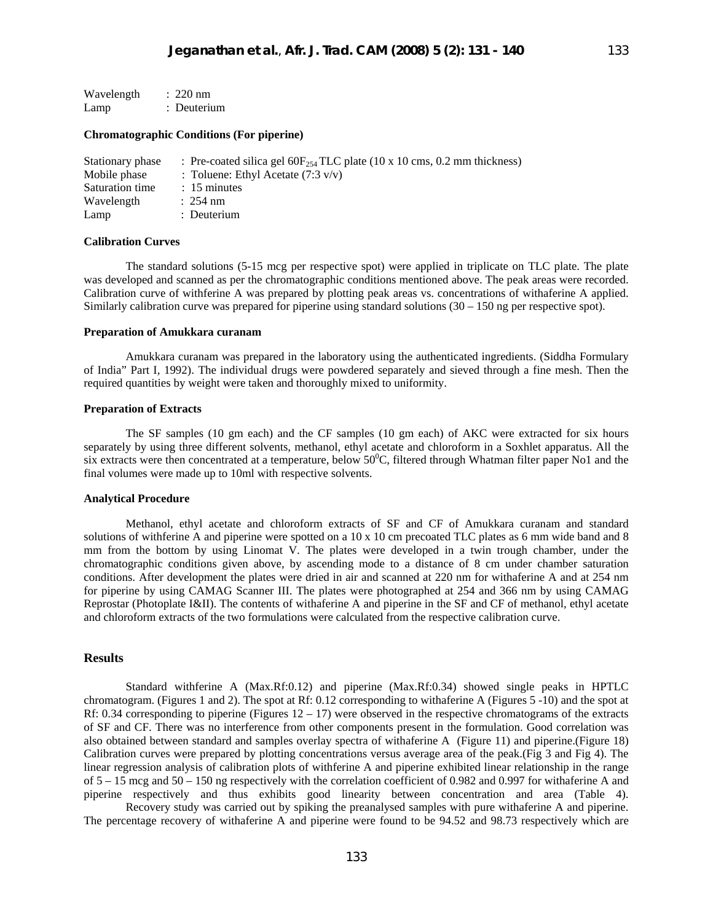| Wavelength | $: 220$ nm  |
|------------|-------------|
| Lamp       | : Deuterium |

# **Chromatographic Conditions (For piperine)**

| Stationary phase | : Pre-coated silica gel $60F_{254}TLC$ plate (10 x 10 cms, 0.2 mm thickness) |
|------------------|------------------------------------------------------------------------------|
| Mobile phase     | : Toluene: Ethyl Acetate $(7.3 \text{ v/v})$                                 |
| Saturation time  | $: 15$ minutes                                                               |
| Wavelength       | $: 254 \text{ nm}$                                                           |
| Lamp             | : Deuterium                                                                  |

#### **Calibration Curves**

The standard solutions (5-15 mcg per respective spot) were applied in triplicate on TLC plate. The plate was developed and scanned as per the chromatographic conditions mentioned above. The peak areas were recorded. Calibration curve of withferine A was prepared by plotting peak areas vs. concentrations of withaferine A applied. Similarly calibration curve was prepared for piperine using standard solutions (30 – 150 ng per respective spot).

#### **Preparation of Amukkara curanam**

Amukkara curanam was prepared in the laboratory using the authenticated ingredients. (Siddha Formulary of India" Part I, 1992). The individual drugs were powdered separately and sieved through a fine mesh. Then the required quantities by weight were taken and thoroughly mixed to uniformity.

# **Preparation of Extracts**

The SF samples (10 gm each) and the CF samples (10 gm each) of AKC were extracted for six hours separately by using three different solvents, methanol, ethyl acetate and chloroform in a Soxhlet apparatus. All the six extracts were then concentrated at a temperature, below  $50^{\circ}$ C, filtered through Whatman filter paper No1 and the final volumes were made up to 10ml with respective solvents.

# **Analytical Procedure**

Methanol, ethyl acetate and chloroform extracts of SF and CF of Amukkara curanam and standard solutions of withferine A and piperine were spotted on a 10 x 10 cm precoated TLC plates as 6 mm wide band and 8 mm from the bottom by using Linomat V. The plates were developed in a twin trough chamber, under the chromatographic conditions given above, by ascending mode to a distance of 8 cm under chamber saturation conditions. After development the plates were dried in air and scanned at 220 nm for withaferine A and at 254 nm for piperine by using CAMAG Scanner III. The plates were photographed at 254 and 366 nm by using CAMAG Reprostar (Photoplate I&II). The contents of withaferine A and piperine in the SF and CF of methanol, ethyl acetate and chloroform extracts of the two formulations were calculated from the respective calibration curve.

## **Results**

Standard withferine A (Max.Rf:0.12) and piperine (Max.Rf:0.34) showed single peaks in HPTLC chromatogram. (Figures 1 and 2). The spot at Rf: 0.12 corresponding to withaferine A (Figures 5 -10) and the spot at Rf: 0.34 corresponding to piperine (Figures  $12 - 17$ ) were observed in the respective chromatograms of the extracts of SF and CF. There was no interference from other components present in the formulation. Good correlation was also obtained between standard and samples overlay spectra of withaferine A (Figure 11) and piperine.(Figure 18) Calibration curves were prepared by plotting concentrations versus average area of the peak.(Fig 3 and Fig 4). The linear regression analysis of calibration plots of withferine A and piperine exhibited linear relationship in the range of 5 – 15 mcg and 50 – 150 ng respectively with the correlation coefficient of 0.982 and 0.997 for withaferine A and piperine respectively and thus exhibits good linearity between concentration and area (Table 4).

 Recovery study was carried out by spiking the preanalysed samples with pure withaferine A and piperine. The percentage recovery of withaferine A and piperine were found to be 94.52 and 98.73 respectively which are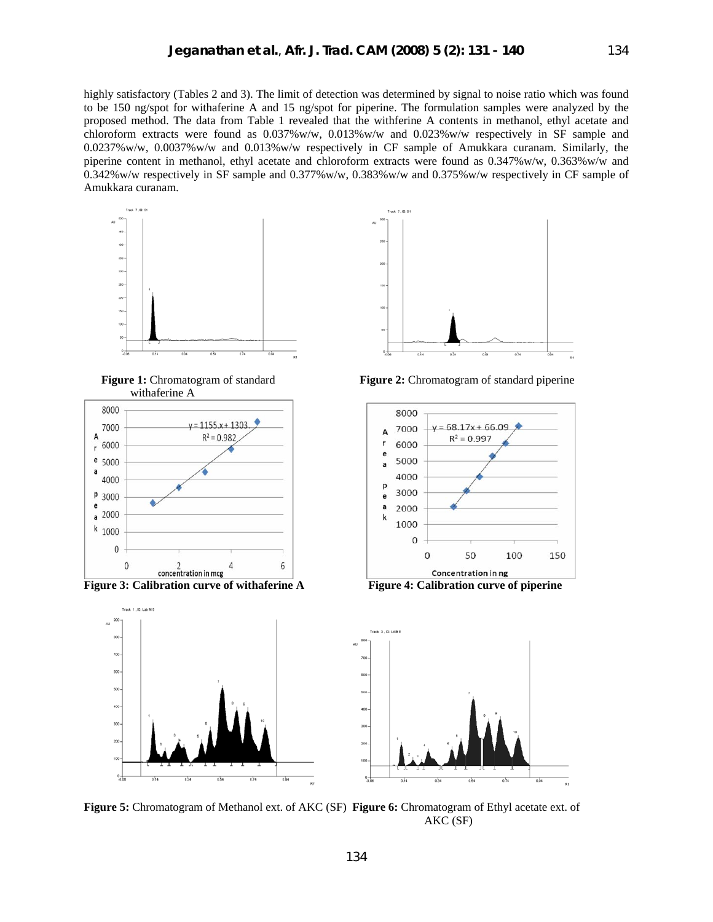highly satisfactory (Tables 2 and 3). The limit of detection was determined by signal to noise ratio which was found to be 150 ng/spot for withaferine A and 15 ng/spot for piperine. The formulation samples were analyzed by the proposed method. The data from Table 1 revealed that the withferine A contents in methanol, ethyl acetate and chloroform extracts were found as 0.037%w/w, 0.013%w/w and 0.023%w/w respectively in SF sample and 0.0237%w/w, 0.0037%w/w and 0.013%w/w respectively in CF sample of Amukkara curanam. Similarly, the piperine content in methanol, ethyl acetate and chloroform extracts were found as 0.347%w/w, 0.363%w/w and 0.342%w/w respectively in SF sample and 0.377%w/w, 0.383%w/w and 0.375%w/w respectively in CF sample of Amukkara curanam.



withaferine A





**Figure 1:** Chromatogram of standard **Figure 2:** Chromatogram of standard piperine





**Figure 5:** Chromatogram of Methanol ext. of AKC (SF) **Figure 6:** Chromatogram of Ethyl acetate ext. of AKC (SF)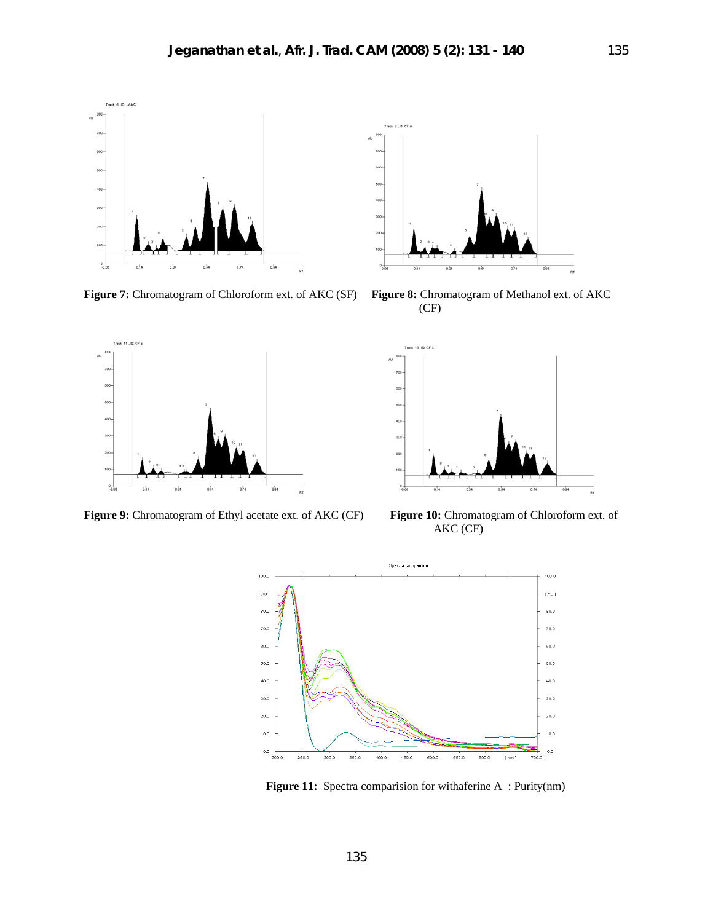

**Figure 7:** Chromatogram of Chloroform ext. of AKC (SF) **Figure 8:** Chromatogram of Methanol ext. of AKC



(CF)



**Figure 9:** Chromatogram of Ethyl acetate ext. of AKC (CF) **Figure 10:** Chromatogram of Chloroform ext. of



AKC (CF)



 **Figure 11:** Spectra comparision for withaferine A : Purity(nm)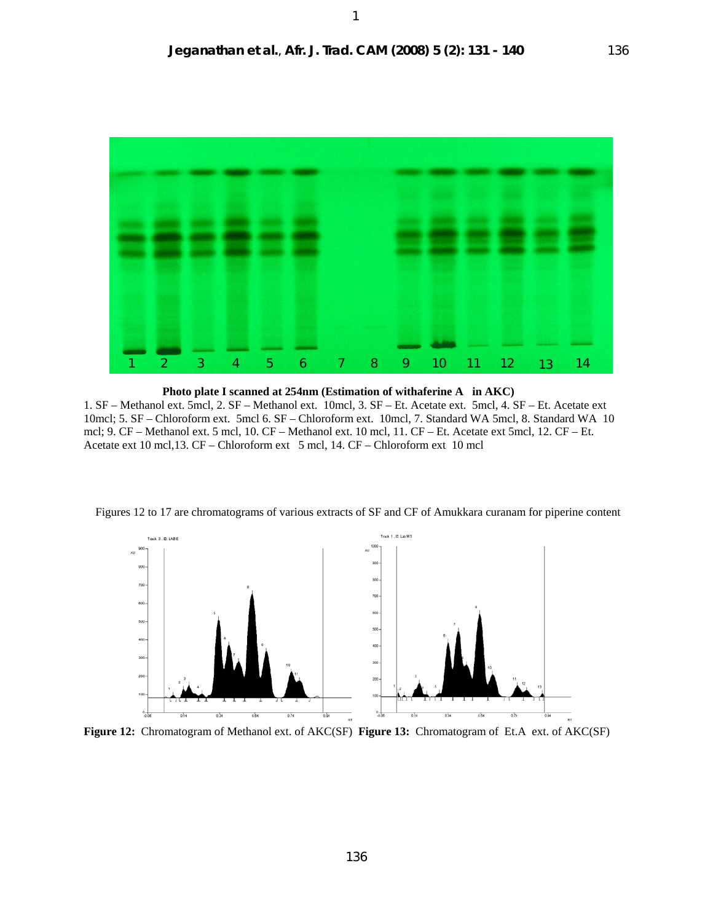

 **Photo plate I scanned at 254nm (Estimation of withaferine A in AKC)**  1. SF – Methanol ext. 5mcl, 2. SF – Methanol ext. 10mcl, 3. SF – Et. Acetate ext. 5mcl, 4. SF – Et. Acetate ext 10mcl; 5. SF – Chloroform ext. 5mcl 6. SF – Chloroform ext. 10mcl, 7. Standard WA 5mcl, 8. Standard WA 10 mcl; 9. CF – Methanol ext. 5 mcl, 10. CF – Methanol ext. 10 mcl, 11. CF – Et. Acetate ext 5mcl, 12. CF – Et. Acetate ext 10 mcl,13. CF – Chloroform ext 5 mcl, 14. CF – Chloroform ext 10 mcl



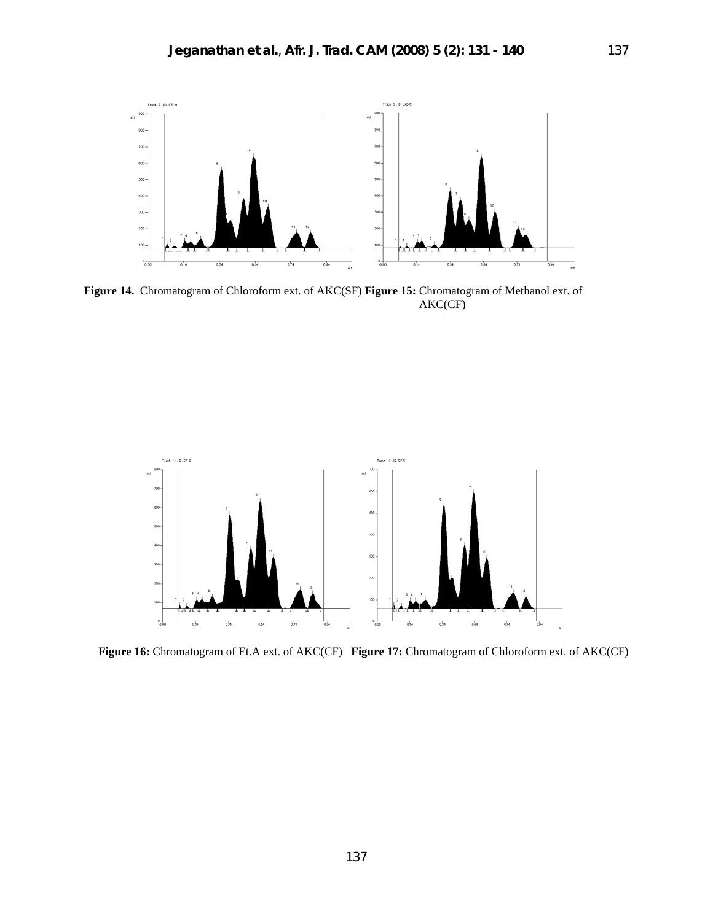

**Figure 14.** Chromatogram of Chloroform ext. of AKC(SF) **Figure 15:** Chromatogram of Methanol ext. of AKC(CF)



 **Figure 16:** Chromatogram of Et.A ext. of AKC(CF) **Figure 17:** Chromatogram of Chloroform ext. of AKC(CF)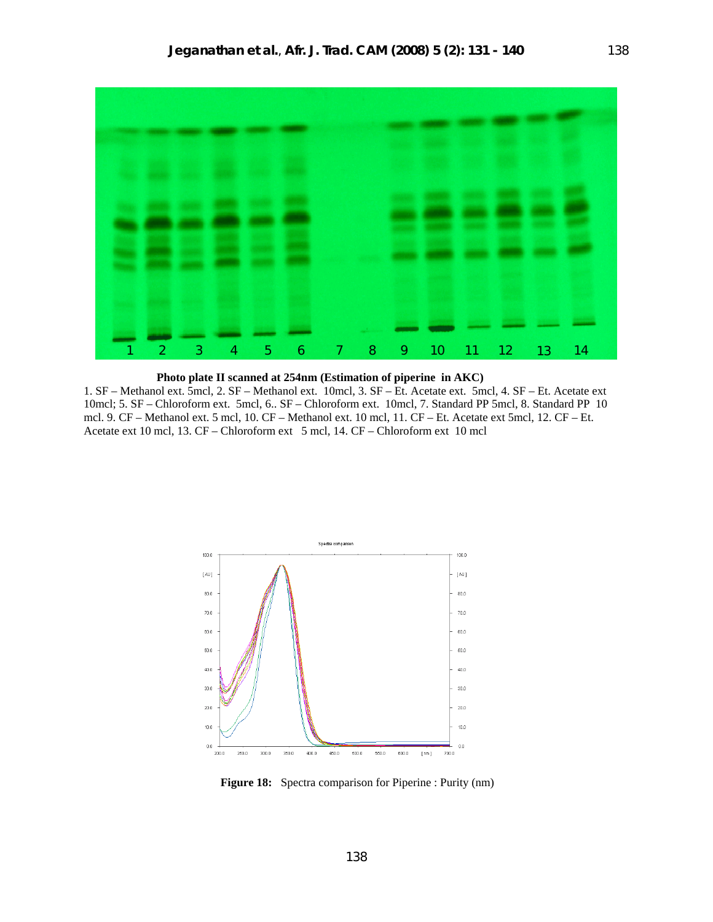

## **Photo plate II scanned at 254nm (Estimation of piperine in AKC)**

1. SF – Methanol ext. 5mcl, 2. SF – Methanol ext. 10mcl, 3. SF – Et. Acetate ext. 5mcl, 4. SF – Et. Acetate ext 10mcl; 5. SF – Chloroform ext. 5mcl, 6.. SF – Chloroform ext. 10mcl, 7. Standard PP 5mcl, 8. Standard PP 10 mcl. 9. CF – Methanol ext. 5 mcl, 10. CF – Methanol ext. 10 mcl, 11. CF – Et. Acetate ext 5mcl, 12. CF – Et. Acetate ext 10 mcl, 13. CF – Chloroform ext 5 mcl, 14. CF – Chloroform ext 10 mcl



**Figure 18:** Spectra comparison for Piperine : Purity (nm)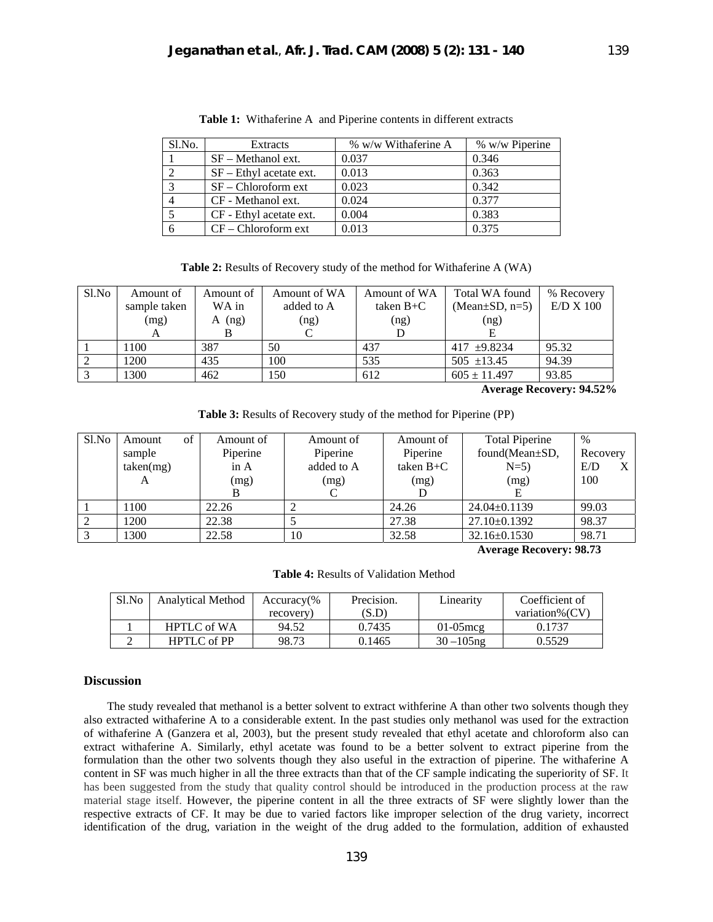| Sl.No. | Extracts                  | % w/w Withaferine A | % w/w Piperine |
|--------|---------------------------|---------------------|----------------|
|        | $SF - Method$ ext.        | 0.037               | 0.346          |
|        | $SF - Ethyl$ acetate ext. | 0.013               | 0.363          |
|        | $SF - Chloroform$ ext     | 0.023               | 0.342          |
|        | CF - Methanol ext.        | 0.024               | 0.377          |
|        | CF - Ethyl acetate ext.   | 0.004               | 0.383          |
|        | $CF$ – Chloroform ext     | 0.013               | 0.375          |

**Table 1:** Withaferine A and Piperine contents in different extracts

**Table 2:** Results of Recovery study of the method for Withaferine A (WA)

| S1.No | Amount of    | Amount of | Amount of WA | Amount of WA | Total WA found       | % Recovery |
|-------|--------------|-----------|--------------|--------------|----------------------|------------|
|       | sample taken | WA in     | added to A   | taken $B+C$  | (Mean $\pm$ SD, n=5) | E/D X 100  |
|       | (mg)         | (ng)<br>A | (ng)         | (ng)         | (ng)                 |            |
|       |              |           |              |              |                      |            |
|       | 1100         | 387       | 50           | 437          | 417 $\pm 9.8234$     | 95.32      |
|       | 1200         | 435       | 100          | 535          | $505$ $\pm$ 13.45    | 94.39      |
| 3     | 1300         | 462       | 150          | 612          | $605 \pm 11.497$     | 93.85      |

 **Average Recovery: 94.52%** 

**Table 3:** Results of Recovery study of the method for Piperine (PP)

| S1.No | Amount    | of | Amount of | Amount of  | Amount of   | <b>Total Piperine</b> | $\%$     |   |
|-------|-----------|----|-----------|------------|-------------|-----------------------|----------|---|
|       | sample    |    | Piperine  | Piperine   | Piperine    | found(Mean±SD,        | Recovery |   |
|       | taken(mg) |    | in A      | added to A | taken $B+C$ | $N=5$ )               | E/D      | X |
|       | A         |    | (mg)      | (mg)       | (mg)        | (mg)                  | 100      |   |
|       |           |    |           |            |             |                       |          |   |
|       | 1100      |    | 22.26     |            | 24.26       | $24.04 \pm 0.1139$    | 99.03    |   |
|       | 1200      |    | 22.38     |            | 27.38       | $27.10\pm0.1392$      | 98.37    |   |
|       | 1300      |    | 22.58     | 10         | 32.58       | 32.16±0.1530          | 98.71    |   |

 **Average Recovery: 98.73** 

**Table 4:** Results of Validation Method

| $S1$ . No | <b>Analytical Method</b> | $Accuracy\%$ | Precision. |               | Coefficient of |
|-----------|--------------------------|--------------|------------|---------------|----------------|
|           |                          | recovery     | (S.D       |               | variation%(CV) |
|           | <b>HPTLC</b> of WA       | 94.52        | 0.7435     | $01-05$ mcg   | 0.1737         |
|           | <b>HPTLC</b> of PP       | 98.73        | 0.1465     | $30 - 105$ ng | 0.5529         |

# **Discussion**

 The study revealed that methanol is a better solvent to extract withferine A than other two solvents though they also extracted withaferine A to a considerable extent. In the past studies only methanol was used for the extraction of withaferine A (Ganzera et al, 2003), but the present study revealed that ethyl acetate and chloroform also can extract withaferine A. Similarly, ethyl acetate was found to be a better solvent to extract piperine from the formulation than the other two solvents though they also useful in the extraction of piperine. The withaferine A content in SF was much higher in all the three extracts than that of the CF sample indicating the superiority of SF. It has been suggested from the study that quality control should be introduced in the production process at the raw material stage itself. However, the piperine content in all the three extracts of SF were slightly lower than the respective extracts of CF. It may be due to varied factors like improper selection of the drug variety, incorrect identification of the drug, variation in the weight of the drug added to the formulation, addition of exhausted